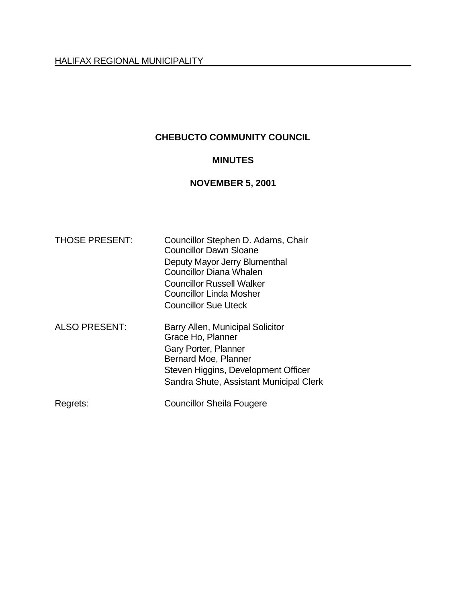# **CHEBUCTO COMMUNITY COUNCIL**

# **MINUTES**

# **NOVEMBER 5, 2001**

| <b>THOSE PRESENT:</b> | Councillor Stephen D. Adams, Chair<br><b>Councillor Dawn Sloane</b> |
|-----------------------|---------------------------------------------------------------------|
|                       | Deputy Mayor Jerry Blumenthal                                       |
|                       | <b>Councillor Diana Whalen</b>                                      |
|                       | <b>Councillor Russell Walker</b>                                    |
|                       | Councillor Linda Mosher                                             |
|                       | <b>Councillor Sue Uteck</b>                                         |
| <b>ALSO PRESENT:</b>  | Barry Allen, Municipal Solicitor                                    |
|                       | Grace Ho, Planner                                                   |
|                       | Gary Porter, Planner                                                |
|                       | Bernard Moe, Planner                                                |
|                       | Steven Higgins, Development Officer                                 |
|                       | Sandra Shute, Assistant Municipal Clerk                             |
| Regrets:              | <b>Councillor Sheila Fougere</b>                                    |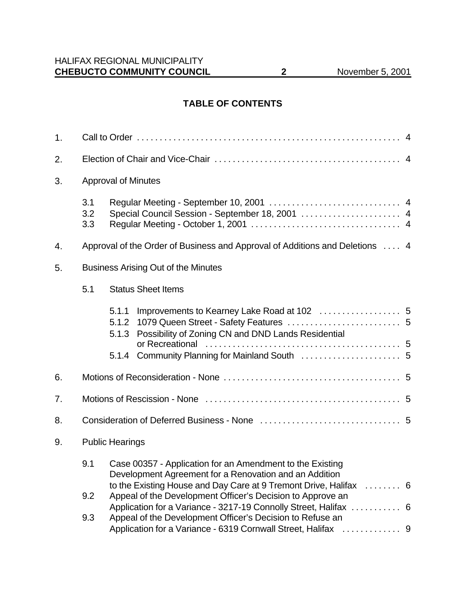### **TABLE OF CONTENTS**

| 1. |                                            |                                                                                                                                 |  |
|----|--------------------------------------------|---------------------------------------------------------------------------------------------------------------------------------|--|
| 2. |                                            |                                                                                                                                 |  |
| 3. | <b>Approval of Minutes</b>                 |                                                                                                                                 |  |
|    | 3.1<br>3.2<br>3.3                          | Special Council Session - September 18, 2001  4                                                                                 |  |
| 4. |                                            | Approval of the Order of Business and Approval of Additions and Deletions  4                                                    |  |
| 5. | <b>Business Arising Out of the Minutes</b> |                                                                                                                                 |  |
|    | 5.1                                        | <b>Status Sheet Items</b>                                                                                                       |  |
|    |                                            | 5.1.1<br>5.1.2<br>Possibility of Zoning CN and DND Lands Residential<br>5.1.3                                                   |  |
|    |                                            |                                                                                                                                 |  |
| 6. |                                            |                                                                                                                                 |  |
| 7. |                                            |                                                                                                                                 |  |
| 8. |                                            |                                                                                                                                 |  |
| 9. | <b>Public Hearings</b>                     |                                                                                                                                 |  |
|    | 9.1                                        | Case 00357 - Application for an Amendment to the Existing<br>Development Agreement for a Renovation and an Addition             |  |
|    | 9.2                                        | to the Existing House and Day Care at 9 Tremont Drive, Halifax  6<br>Appeal of the Development Officer's Decision to Approve an |  |
|    | 9.3                                        | Application for a Variance - 3217-19 Connolly Street, Halifax  6<br>Appeal of the Development Officer's Decision to Refuse an   |  |
|    |                                            |                                                                                                                                 |  |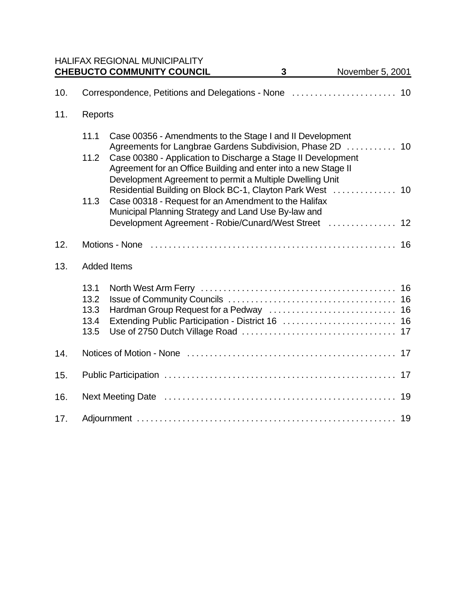|     |                                      | <b>HALIFAX REGIONAL MUNICIPALITY</b><br><b>CHEBUCTO COMMUNITY COUNCIL</b>                                                                                                                  | $\mathbf{3}$ | November 5, 2001 |
|-----|--------------------------------------|--------------------------------------------------------------------------------------------------------------------------------------------------------------------------------------------|--------------|------------------|
| 10. |                                      | Correspondence, Petitions and Delegations - None  10                                                                                                                                       |              |                  |
| 11. | Reports                              |                                                                                                                                                                                            |              |                  |
|     | 11.1                                 | Case 00356 - Amendments to the Stage I and II Development<br>Agreements for Langbrae Gardens Subdivision, Phase 2D  10                                                                     |              |                  |
|     | 11.2                                 | Case 00380 - Application to Discharge a Stage II Development<br>Agreement for an Office Building and enter into a new Stage II<br>Development Agreement to permit a Multiple Dwelling Unit |              |                  |
|     | 11.3                                 | Residential Building on Block BC-1, Clayton Park West  10<br>Case 00318 - Request for an Amendment to the Halifax<br>Municipal Planning Strategy and Land Use By-law and                   |              |                  |
|     |                                      | Development Agreement - Robie/Cunard/West Street                                                                                                                                           |              | 12               |
| 12. |                                      | Motions - None experiences in the control of the control of the Motions - None experience in the Motions - 16                                                                              |              |                  |
| 13. |                                      | <b>Added Items</b>                                                                                                                                                                         |              |                  |
|     | 13.1<br>13.2<br>13.3<br>13.4<br>13.5 | Extending Public Participation - District 16  16                                                                                                                                           |              |                  |
| 14. |                                      |                                                                                                                                                                                            |              |                  |
| 15. |                                      |                                                                                                                                                                                            |              |                  |
| 16. |                                      |                                                                                                                                                                                            |              | 19               |
| 17. |                                      |                                                                                                                                                                                            |              |                  |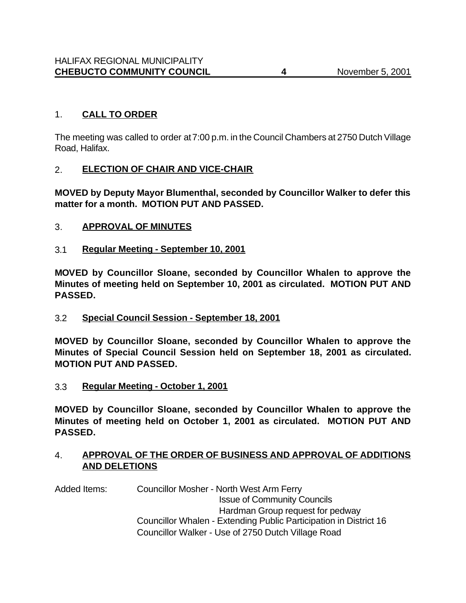# 1. **CALL TO ORDER**

The meeting was called to order at 7:00 p.m. in the Council Chambers at 2750 Dutch Village Road, Halifax.

### 2. **ELECTION OF CHAIR AND VICE-CHAIR**

**MOVED by Deputy Mayor Blumenthal, seconded by Councillor Walker to defer this matter for a month. MOTION PUT AND PASSED.**

### 3. **APPROVAL OF MINUTES**

3.1 **Regular Meeting - September 10, 2001**

**MOVED by Councillor Sloane, seconded by Councillor Whalen to approve the Minutes of meeting held on September 10, 2001 as circulated. MOTION PUT AND PASSED.**

3.2 **Special Council Session - September 18, 2001**

**MOVED by Councillor Sloane, seconded by Councillor Whalen to approve the Minutes of Special Council Session held on September 18, 2001 as circulated. MOTION PUT AND PASSED.**

3.3 **Regular Meeting - October 1, 2001**

**MOVED by Councillor Sloane, seconded by Councillor Whalen to approve the Minutes of meeting held on October 1, 2001 as circulated. MOTION PUT AND PASSED.**

### 4. **APPROVAL OF THE ORDER OF BUSINESS AND APPROVAL OF ADDITIONS AND DELETIONS**

Added Items: Councillor Mosher - North West Arm Ferry Issue of Community Councils Hardman Group request for pedway Councillor Whalen - Extending Public Participation in District 16 Councillor Walker - Use of 2750 Dutch Village Road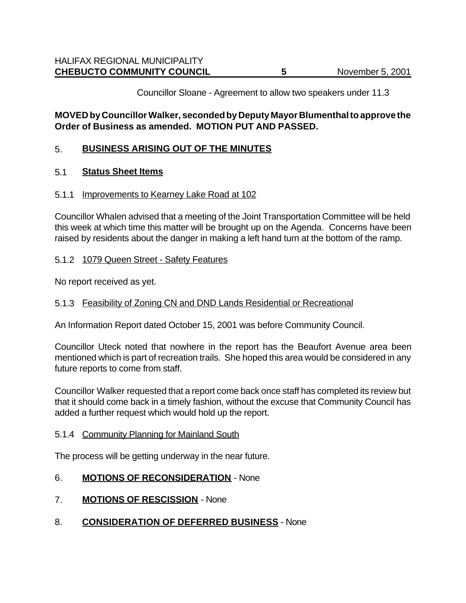Councillor Sloane - Agreement to allow two speakers under 11.3

### **MOVED by Councillor Walker, seconded by Deputy Mayor Blumenthal to approve the Order of Business as amended. MOTION PUT AND PASSED.**

#### 5. **BUSINESS ARISING OUT OF THE MINUTES**

#### 5.1 **Status Sheet Items**

#### 5.1.1 Improvements to Kearney Lake Road at 102

Councillor Whalen advised that a meeting of the Joint Transportation Committee will be held this week at which time this matter will be brought up on the Agenda. Concerns have been raised by residents about the danger in making a left hand turn at the bottom of the ramp.

#### 5.1.2 1079 Queen Street - Safety Features

No report received as yet.

#### 5.1.3 Feasibility of Zoning CN and DND Lands Residential or Recreational

An Information Report dated October 15, 2001 was before Community Council.

Councillor Uteck noted that nowhere in the report has the Beaufort Avenue area been mentioned which is part of recreation trails. She hoped this area would be considered in any future reports to come from staff.

Councillor Walker requested that a report come back once staff has completed its review but that it should come back in a timely fashion, without the excuse that Community Council has added a further request which would hold up the report.

#### 5.1.4 Community Planning for Mainland South

The process will be getting underway in the near future.

#### 6. **MOTIONS OF RECONSIDERATION** - None

- 7. **MOTIONS OF RESCISSION** None
- 8. **CONSIDERATION OF DEFERRED BUSINESS** None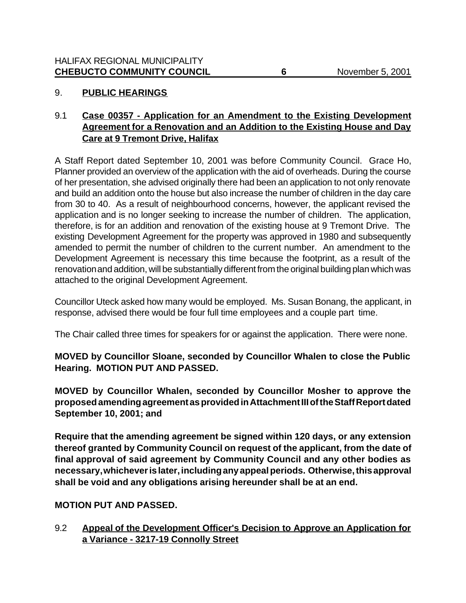## 9. **PUBLIC HEARINGS**

# 9.1 **Case 00357 - Application for an Amendment to the Existing Development Agreement for a Renovation and an Addition to the Existing House and Day Care at 9 Tremont Drive, Halifax**

A Staff Report dated September 10, 2001 was before Community Council. Grace Ho, Planner provided an overview of the application with the aid of overheads. During the course of her presentation, she advised originally there had been an application to not only renovate and build an addition onto the house but also increase the number of children in the day care from 30 to 40. As a result of neighbourhood concerns, however, the applicant revised the application and is no longer seeking to increase the number of children. The application, therefore, is for an addition and renovation of the existing house at 9 Tremont Drive. The existing Development Agreement for the property was approved in 1980 and subsequently amended to permit the number of children to the current number. An amendment to the Development Agreement is necessary this time because the footprint, as a result of the renovation and addition, will be substantially different from the original building plan which was attached to the original Development Agreement.

Councillor Uteck asked how many would be employed. Ms. Susan Bonang, the applicant, in response, advised there would be four full time employees and a couple part time.

The Chair called three times for speakers for or against the application. There were none.

### **MOVED by Councillor Sloane, seconded by Councillor Whalen to close the Public Hearing. MOTION PUT AND PASSED.**

**MOVED by Councillor Whalen, seconded by Councillor Mosher to approve the proposed amending agreement as provided in Attachment III of the Staff Report dated September 10, 2001; and**

**Require that the amending agreement be signed within 120 days, or any extension thereof granted by Community Council on request of the applicant, from the date of final approval of said agreement by Community Council and any other bodies as necessary, whichever is later, including any appeal periods. Otherwise, this approval shall be void and any obligations arising hereunder shall be at an end.**

#### **MOTION PUT AND PASSED.**

9.2 **Appeal of the Development Officer's Decision to Approve an Application for a Variance - 3217-19 Connolly Street**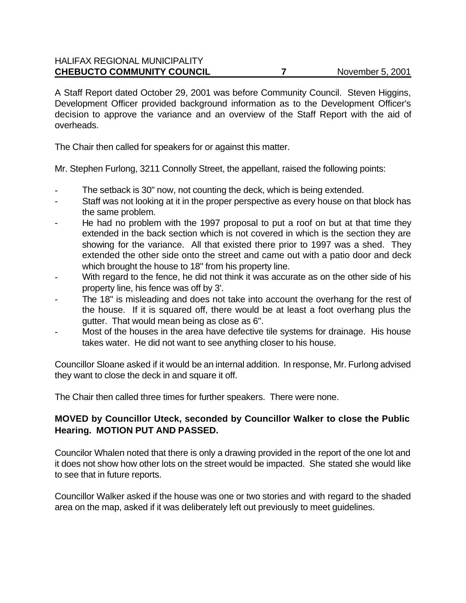A Staff Report dated October 29, 2001 was before Community Council. Steven Higgins, Development Officer provided background information as to the Development Officer's decision to approve the variance and an overview of the Staff Report with the aid of overheads.

The Chair then called for speakers for or against this matter.

Mr. Stephen Furlong, 3211 Connolly Street, the appellant, raised the following points:

- The setback is 30" now, not counting the deck, which is being extended.
- Staff was not looking at it in the proper perspective as every house on that block has the same problem.
- He had no problem with the 1997 proposal to put a roof on but at that time they extended in the back section which is not covered in which is the section they are showing for the variance. All that existed there prior to 1997 was a shed. They extended the other side onto the street and came out with a patio door and deck which brought the house to 18" from his property line.
- With regard to the fence, he did not think it was accurate as on the other side of his property line, his fence was off by 3'.
- The 18" is misleading and does not take into account the overhang for the rest of the house. If it is squared off, there would be at least a foot overhang plus the gutter. That would mean being as close as 6".
- Most of the houses in the area have defective tile systems for drainage. His house takes water. He did not want to see anything closer to his house.

Councillor Sloane asked if it would be an internal addition. In response, Mr. Furlong advised they want to close the deck in and square it off.

The Chair then called three times for further speakers. There were none.

# **MOVED by Councillor Uteck, seconded by Councillor Walker to close the Public Hearing. MOTION PUT AND PASSED.**

Councilor Whalen noted that there is only a drawing provided in the report of the one lot and it does not show how other lots on the street would be impacted. She stated she would like to see that in future reports.

Councillor Walker asked if the house was one or two stories and with regard to the shaded area on the map, asked if it was deliberately left out previously to meet guidelines.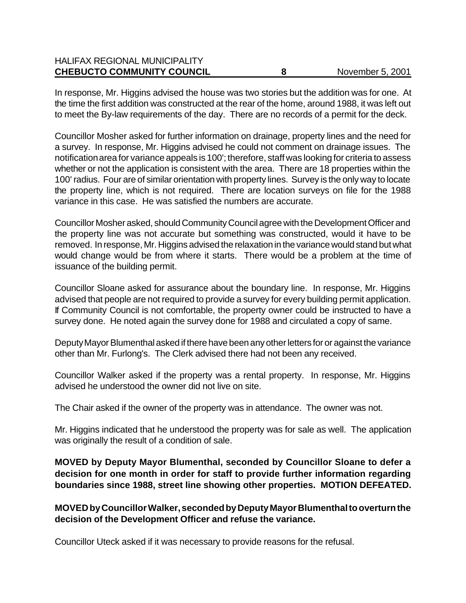| <b>HALIFAX REGIONAL MUNICIPALITY</b> |                  |
|--------------------------------------|------------------|
| <b>CHEBUCTO COMMUNITY COUNCIL</b>    | November 5, 2001 |

In response, Mr. Higgins advised the house was two stories but the addition was for one. At the time the first addition was constructed at the rear of the home, around 1988, it was left out to meet the By-law requirements of the day. There are no records of a permit for the deck.

Councillor Mosher asked for further information on drainage, property lines and the need for a survey. In response, Mr. Higgins advised he could not comment on drainage issues. The notification area for variance appeals is 100'; therefore, staff was looking for criteria to assess whether or not the application is consistent with the area. There are 18 properties within the 100' radius. Four are of similar orientation with property lines. Survey is the only way to locate the property line, which is not required. There are location surveys on file for the 1988 variance in this case. He was satisfied the numbers are accurate.

Councillor Mosher asked, should Community Council agree with the Development Officer and the property line was not accurate but something was constructed, would it have to be removed. In response, Mr. Higgins advised the relaxation in the variance would stand but what would change would be from where it starts. There would be a problem at the time of issuance of the building permit.

Councillor Sloane asked for assurance about the boundary line. In response, Mr. Higgins advised that people are not required to provide a survey for every building permit application. If Community Council is not comfortable, the property owner could be instructed to have a survey done. He noted again the survey done for 1988 and circulated a copy of same.

Deputy Mayor Blumenthal asked if there have been any other letters for or against the variance other than Mr. Furlong's. The Clerk advised there had not been any received.

Councillor Walker asked if the property was a rental property. In response, Mr. Higgins advised he understood the owner did not live on site.

The Chair asked if the owner of the property was in attendance. The owner was not.

Mr. Higgins indicated that he understood the property was for sale as well. The application was originally the result of a condition of sale.

**MOVED by Deputy Mayor Blumenthal, seconded by Councillor Sloane to defer a decision for one month in order for staff to provide further information regarding boundaries since 1988, street line showing other properties. MOTION DEFEATED.**

**MOVED by Councillor Walker, seconded by Deputy Mayor Blumenthal to overturn the decision of the Development Officer and refuse the variance.** 

Councillor Uteck asked if it was necessary to provide reasons for the refusal.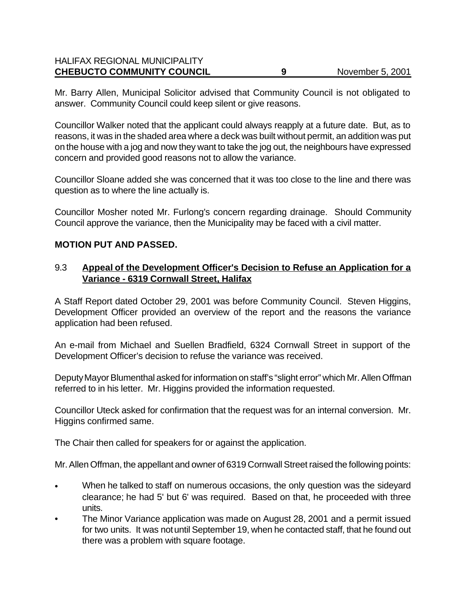# HALIFAX REGIONAL MUNICIPALITY **CHEBUCTO COMMUNITY COUNCIL 9** November 5, 2001

Mr. Barry Allen, Municipal Solicitor advised that Community Council is not obligated to answer. Community Council could keep silent or give reasons.

Councillor Walker noted that the applicant could always reapply at a future date. But, as to reasons, it was in the shaded area where a deck was built without permit, an addition was put on the house with a jog and now they want to take the jog out, the neighbours have expressed concern and provided good reasons not to allow the variance.

Councillor Sloane added she was concerned that it was too close to the line and there was question as to where the line actually is.

Councillor Mosher noted Mr. Furlong's concern regarding drainage. Should Community Council approve the variance, then the Municipality may be faced with a civil matter.

### **MOTION PUT AND PASSED.**

### 9.3 **Appeal of the Development Officer's Decision to Refuse an Application for a Variance - 6319 Cornwall Street, Halifax**

A Staff Report dated October 29, 2001 was before Community Council. Steven Higgins, Development Officer provided an overview of the report and the reasons the variance application had been refused.

An e-mail from Michael and Suellen Bradfield, 6324 Cornwall Street in support of the Development Officer's decision to refuse the variance was received.

Deputy Mayor Blumenthal asked for information on staff's "slight error" which Mr. Allen Offman referred to in his letter. Mr. Higgins provided the information requested.

Councillor Uteck asked for confirmation that the request was for an internal conversion. Mr. Higgins confirmed same.

The Chair then called for speakers for or against the application.

Mr. Allen Offman, the appellant and owner of 6319 Cornwall Street raised the following points:

- When he talked to staff on numerous occasions, the only question was the sideyard clearance; he had 5' but 6' was required. Based on that, he proceeded with three units.
- The Minor Variance application was made on August 28, 2001 and a permit issued for two units. It was not until September 19, when he contacted staff, that he found out there was a problem with square footage.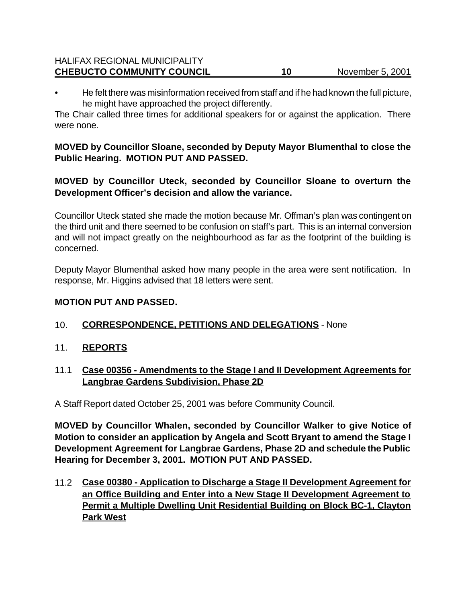#### HALIFAX REGIONAL MUNICIPALITY **CHEBUCTO COMMUNITY COUNCIL 10** 10 November 5, 2001

• He felt there was misinformation received from staff and if he had known the full picture, he might have approached the project differently.

The Chair called three times for additional speakers for or against the application. There were none.

# **MOVED by Councillor Sloane, seconded by Deputy Mayor Blumenthal to close the Public Hearing. MOTION PUT AND PASSED.**

# **MOVED by Councillor Uteck, seconded by Councillor Sloane to overturn the Development Officer's decision and allow the variance.**

Councillor Uteck stated she made the motion because Mr. Offman's plan was contingent on the third unit and there seemed to be confusion on staff's part. This is an internal conversion and will not impact greatly on the neighbourhood as far as the footprint of the building is concerned.

Deputy Mayor Blumenthal asked how many people in the area were sent notification. In response, Mr. Higgins advised that 18 letters were sent.

#### **MOTION PUT AND PASSED.**

# 10. **CORRESPONDENCE, PETITIONS AND DELEGATIONS** - None

11. **REPORTS**

# 11.1 **Case 00356 - Amendments to the Stage I and II Development Agreements for Langbrae Gardens Subdivision, Phase 2D**

A Staff Report dated October 25, 2001 was before Community Council.

**MOVED by Councillor Whalen, seconded by Councillor Walker to give Notice of Motion to consider an application by Angela and Scott Bryant to amend the Stage I Development Agreement for Langbrae Gardens, Phase 2D and schedule the Public Hearing for December 3, 2001. MOTION PUT AND PASSED.**

11.2 **Case 00380 - Application to Discharge a Stage II Development Agreement for an Office Building and Enter into a New Stage II Development Agreement to Permit a Multiple Dwelling Unit Residential Building on Block BC-1, Clayton Park West**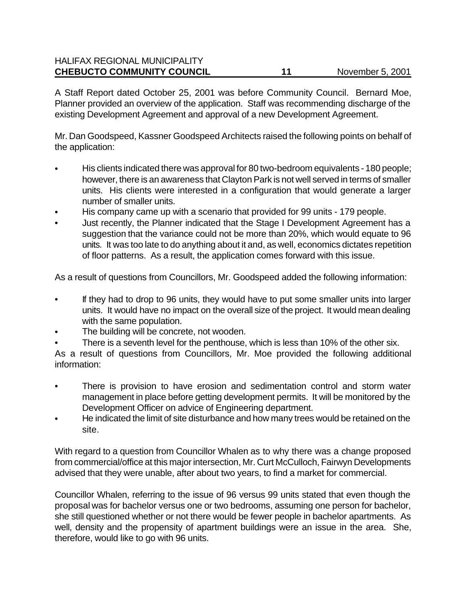#### HALIFAX REGIONAL MUNICIPALITY **CHEBUCTO COMMUNITY COUNCIL 11** November 5, 2001

A Staff Report dated October 25, 2001 was before Community Council. Bernard Moe, Planner provided an overview of the application. Staff was recommending discharge of the existing Development Agreement and approval of a new Development Agreement.

Mr. Dan Goodspeed, Kassner Goodspeed Architects raised the following points on behalf of the application:

- His clients indicated there was approval for 80 two-bedroom equivalents 180 people; however, there is an awareness that Clayton Park is not well served in terms of smaller units. His clients were interested in a configuration that would generate a larger number of smaller units.
- His company came up with a scenario that provided for 99 units 179 people.
- Just recently, the Planner indicated that the Stage I Development Agreement has a suggestion that the variance could not be more than 20%, which would equate to 96 units. It was too late to do anything about it and, as well, economics dictates repetition of floor patterns. As a result, the application comes forward with this issue.

As a result of questions from Councillors, Mr. Goodspeed added the following information:

- If they had to drop to 96 units, they would have to put some smaller units into larger units. It would have no impact on the overall size of the project. It would mean dealing with the same population.
- The building will be concrete, not wooden.
- There is a seventh level for the penthouse, which is less than 10% of the other six.

As a result of questions from Councillors, Mr. Moe provided the following additional information:

- There is provision to have erosion and sedimentation control and storm water management in place before getting development permits. It will be monitored by the Development Officer on advice of Engineering department.
- He indicated the limit of site disturbance and how many trees would be retained on the site.

With regard to a question from Councillor Whalen as to why there was a change proposed from commercial/office at this major intersection, Mr. Curt McCulloch, Fairwyn Developments advised that they were unable, after about two years, to find a market for commercial.

Councillor Whalen, referring to the issue of 96 versus 99 units stated that even though the proposal was for bachelor versus one or two bedrooms, assuming one person for bachelor, she still questioned whether or not there would be fewer people in bachelor apartments. As well, density and the propensity of apartment buildings were an issue in the area. She, therefore, would like to go with 96 units.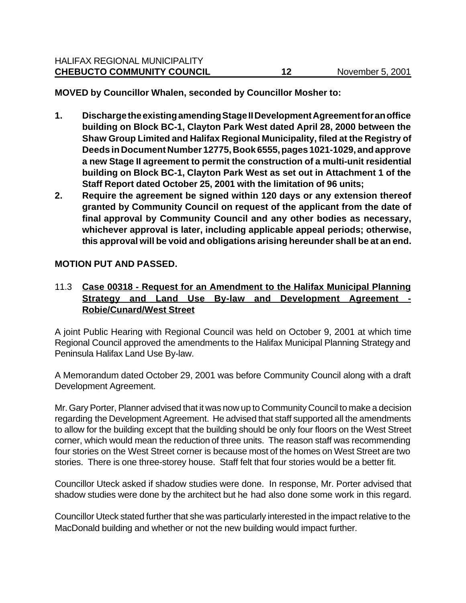- **1. Discharge the existing amending Stage II Development Agreement for an office building on Block BC-1, Clayton Park West dated April 28, 2000 between the Shaw Group Limited and Halifax Regional Municipality, filed at the Registry of Deeds in Document Number 12775, Book 6555, pages 1021-1029, and approve a new Stage II agreement to permit the construction of a multi-unit residential building on Block BC-1, Clayton Park West as set out in Attachment 1 of the Staff Report dated October 25, 2001 with the limitation of 96 units;**
- **2. Require the agreement be signed within 120 days or any extension thereof granted by Community Council on request of the applicant from the date of final approval by Community Council and any other bodies as necessary, whichever approval is later, including applicable appeal periods; otherwise, this approval will be void and obligations arising hereunder shall be at an end.**

# **MOTION PUT AND PASSED.**

## 11.3 **Case 00318 - Request for an Amendment to the Halifax Municipal Planning Strategy and Land Use By-law and Development Agreement - Robie/Cunard/West Street**

A joint Public Hearing with Regional Council was held on October 9, 2001 at which time Regional Council approved the amendments to the Halifax Municipal Planning Strategy and Peninsula Halifax Land Use By-law.

A Memorandum dated October 29, 2001 was before Community Council along with a draft Development Agreement.

Mr. Gary Porter, Planner advised that it was now up to Community Council to make a decision regarding the Development Agreement. He advised that staff supported all the amendments to allow for the building except that the building should be only four floors on the West Street corner, which would mean the reduction of three units. The reason staff was recommending four stories on the West Street corner is because most of the homes on West Street are two stories. There is one three-storey house. Staff felt that four stories would be a better fit.

Councillor Uteck asked if shadow studies were done. In response, Mr. Porter advised that shadow studies were done by the architect but he had also done some work in this regard.

Councillor Uteck stated further that she was particularly interested in the impact relative to the MacDonald building and whether or not the new building would impact further.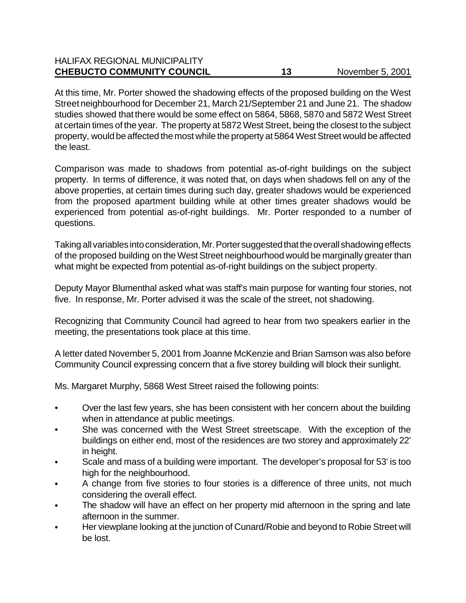| <b>HALIFAX REGIONAL MUNICIPALITY</b> |    |                  |
|--------------------------------------|----|------------------|
| <b>CHEBUCTO COMMUNITY COUNCIL</b>    | 13 | November 5, 2001 |

At this time, Mr. Porter showed the shadowing effects of the proposed building on the West Street neighbourhood for December 21, March 21/September 21 and June 21. The shadow studies showed that there would be some effect on 5864, 5868, 5870 and 5872 West Street at certain times of the year. The property at 5872 West Street, being the closest to the subject property, would be affected the most while the property at 5864 West Street would be affected the least.

Comparison was made to shadows from potential as-of-right buildings on the subject property. In terms of difference, it was noted that, on days when shadows fell on any of the above properties, at certain times during such day, greater shadows would be experienced from the proposed apartment building while at other times greater shadows would be experienced from potential as-of-right buildings. Mr. Porter responded to a number of questions.

Taking all variables into consideration, Mr. Porter suggested that the overall shadowing effects of the proposed building on the West Street neighbourhood would be marginally greater than what might be expected from potential as-of-right buildings on the subject property.

Deputy Mayor Blumenthal asked what was staff's main purpose for wanting four stories, not five. In response, Mr. Porter advised it was the scale of the street, not shadowing.

Recognizing that Community Council had agreed to hear from two speakers earlier in the meeting, the presentations took place at this time.

A letter dated November 5, 2001 from Joanne McKenzie and Brian Samson was also before Community Council expressing concern that a five storey building will block their sunlight.

Ms. Margaret Murphy, 5868 West Street raised the following points:

- Over the last few years, she has been consistent with her concern about the building when in attendance at public meetings.
- She was concerned with the West Street streetscape. With the exception of the buildings on either end, most of the residences are two storey and approximately 22' in height.
- Scale and mass of a building were important. The developer's proposal for 53' is too high for the neighbourhood.
- A change from five stories to four stories is a difference of three units, not much considering the overall effect.
- The shadow will have an effect on her property mid afternoon in the spring and late afternoon in the summer.
- Her viewplane looking at the junction of Cunard/Robie and beyond to Robie Street will be lost.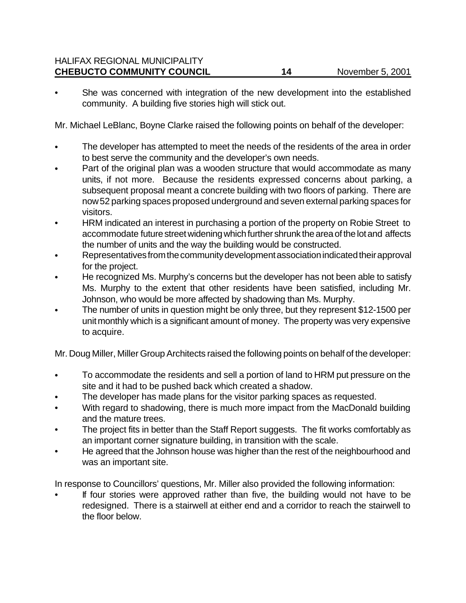She was concerned with integration of the new development into the established community. A building five stories high will stick out.

Mr. Michael LeBlanc, Boyne Clarke raised the following points on behalf of the developer:

- The developer has attempted to meet the needs of the residents of the area in order to best serve the community and the developer's own needs.
- Part of the original plan was a wooden structure that would accommodate as many units, if not more. Because the residents expressed concerns about parking, a subsequent proposal meant a concrete building with two floors of parking. There are now 52 parking spaces proposed underground and seven external parking spaces for visitors.
- HRM indicated an interest in purchasing a portion of the property on Robie Street to accommodate future street widening which further shrunk the area of the lot and affects the number of units and the way the building would be constructed.
- Representatives from the community development association indicated their approval for the project.
- He recognized Ms. Murphy's concerns but the developer has not been able to satisfy Ms. Murphy to the extent that other residents have been satisfied, including Mr. Johnson, who would be more affected by shadowing than Ms. Murphy.
- The number of units in question might be only three, but they represent \$12-1500 per unit monthly which is a significant amount of money. The property was very expensive to acquire.

Mr. Doug Miller, Miller Group Architects raised the following points on behalf of the developer:

- To accommodate the residents and sell a portion of land to HRM put pressure on the site and it had to be pushed back which created a shadow.
- The developer has made plans for the visitor parking spaces as requested.
- With regard to shadowing, there is much more impact from the MacDonald building and the mature trees.
- The project fits in better than the Staff Report suggests. The fit works comfortably as an important corner signature building, in transition with the scale.
- He agreed that the Johnson house was higher than the rest of the neighbourhood and was an important site.

In response to Councillors' questions, Mr. Miller also provided the following information:

If four stories were approved rather than five, the building would not have to be redesigned. There is a stairwell at either end and a corridor to reach the stairwell to the floor below.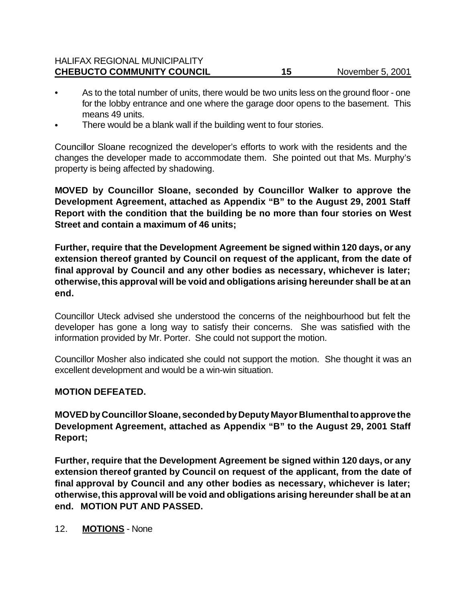| <b>HALIFAX REGIONAL MUNICIPALITY</b> |                  |
|--------------------------------------|------------------|
| <b>CHEBUCTO COMMUNITY COUNCIL</b>    | November 5, 2001 |

- As to the total number of units, there would be two units less on the ground floor one for the lobby entrance and one where the garage door opens to the basement. This means 49 units.
- There would be a blank wall if the building went to four stories.

Councillor Sloane recognized the developer's efforts to work with the residents and the changes the developer made to accommodate them. She pointed out that Ms. Murphy's property is being affected by shadowing.

**MOVED by Councillor Sloane, seconded by Councillor Walker to approve the Development Agreement, attached as Appendix "B" to the August 29, 2001 Staff Report with the condition that the building be no more than four stories on West Street and contain a maximum of 46 units;**

**Further, require that the Development Agreement be signed within 120 days, or any extension thereof granted by Council on request of the applicant, from the date of final approval by Council and any other bodies as necessary, whichever is later; otherwise, this approval will be void and obligations arising hereunder shall be at an end.**

Councillor Uteck advised she understood the concerns of the neighbourhood but felt the developer has gone a long way to satisfy their concerns. She was satisfied with the information provided by Mr. Porter. She could not support the motion.

Councillor Mosher also indicated she could not support the motion. She thought it was an excellent development and would be a win-win situation.

#### **MOTION DEFEATED.**

**MOVED by Councillor Sloane, seconded by Deputy Mayor Blumenthal to approve the Development Agreement, attached as Appendix "B" to the August 29, 2001 Staff Report;** 

**Further, require that the Development Agreement be signed within 120 days, or any extension thereof granted by Council on request of the applicant, from the date of final approval by Council and any other bodies as necessary, whichever is later; otherwise, this approval will be void and obligations arising hereunder shall be at an end. MOTION PUT AND PASSED.**

12. **MOTIONS** - None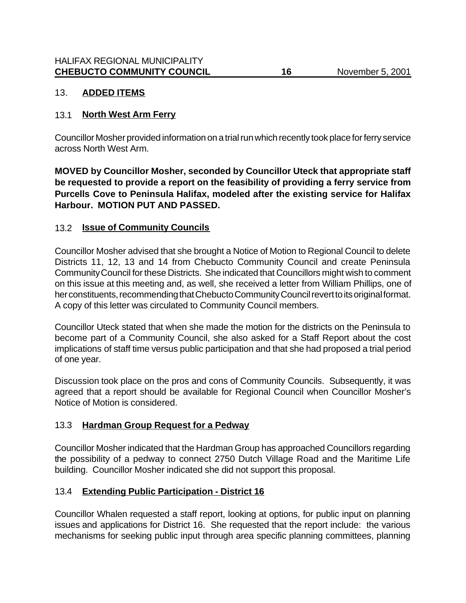# 13. **ADDED ITEMS**

## 13.1 **North West Arm Ferry**

Councillor Mosher provided information on a trial run which recently took place for ferry service across North West Arm.

**MOVED by Councillor Mosher, seconded by Councillor Uteck that appropriate staff be requested to provide a report on the feasibility of providing a ferry service from Purcells Cove to Peninsula Halifax, modeled after the existing service for Halifax Harbour. MOTION PUT AND PASSED.**

### 13.2 **Issue of Community Councils**

Councillor Mosher advised that she brought a Notice of Motion to Regional Council to delete Districts 11, 12, 13 and 14 from Chebucto Community Council and create Peninsula Community Council for these Districts. She indicated that Councillors might wish to comment on this issue at this meeting and, as well, she received a letter from William Phillips, one of her constituents, recommending that Chebucto Community Council revert to its original format. A copy of this letter was circulated to Community Council members.

Councillor Uteck stated that when she made the motion for the districts on the Peninsula to become part of a Community Council, she also asked for a Staff Report about the cost implications of staff time versus public participation and that she had proposed a trial period of one year.

Discussion took place on the pros and cons of Community Councils. Subsequently, it was agreed that a report should be available for Regional Council when Councillor Mosher's Notice of Motion is considered.

# 13.3 **Hardman Group Request for a Pedway**

Councillor Mosher indicated that the Hardman Group has approached Councillors regarding the possibility of a pedway to connect 2750 Dutch Village Road and the Maritime Life building. Councillor Mosher indicated she did not support this proposal.

# 13.4 **Extending Public Participation - District 16**

Councillor Whalen requested a staff report, looking at options, for public input on planning issues and applications for District 16. She requested that the report include: the various mechanisms for seeking public input through area specific planning committees, planning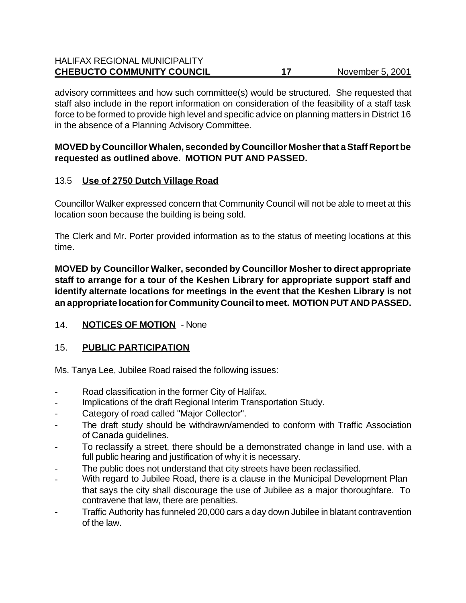#### HALIFAX REGIONAL MUNICIPALITY **CHEBUCTO COMMUNITY COUNCIL 17** November 5, 2001

advisory committees and how such committee(s) would be structured. She requested that staff also include in the report information on consideration of the feasibility of a staff task force to be formed to provide high level and specific advice on planning matters in District 16 in the absence of a Planning Advisory Committee.

## **MOVED by Councillor Whalen, seconded by Councillor Mosher that a Staff Report be requested as outlined above. MOTION PUT AND PASSED.**

# 13.5 **Use of 2750 Dutch Village Road**

Councillor Walker expressed concern that Community Council will not be able to meet at this location soon because the building is being sold.

The Clerk and Mr. Porter provided information as to the status of meeting locations at this time.

**MOVED by Councillor Walker, seconded by Councillor Mosher to direct appropriate staff to arrange for a tour of the Keshen Library for appropriate support staff and identify alternate locations for meetings in the event that the Keshen Library is not an appropriate location for Community Council to meet. MOTION PUT AND PASSED.**

# 14. **NOTICES OF MOTION** - None

# 15. **PUBLIC PARTICIPATION**

Ms. Tanya Lee, Jubilee Road raised the following issues:

- Road classification in the former City of Halifax.
- Implications of the draft Regional Interim Transportation Study.
- Category of road called "Major Collector".
- The draft study should be withdrawn/amended to conform with Traffic Association of Canada guidelines.
- To reclassify a street, there should be a demonstrated change in land use. with a full public hearing and justification of why it is necessary.
- The public does not understand that city streets have been reclassified.
- With regard to Jubilee Road, there is a clause in the Municipal Development Plan that says the city shall discourage the use of Jubilee as a major thoroughfare. To contravene that law, there are penalties.
- Traffic Authority has funneled 20,000 cars a day down Jubilee in blatant contravention of the law.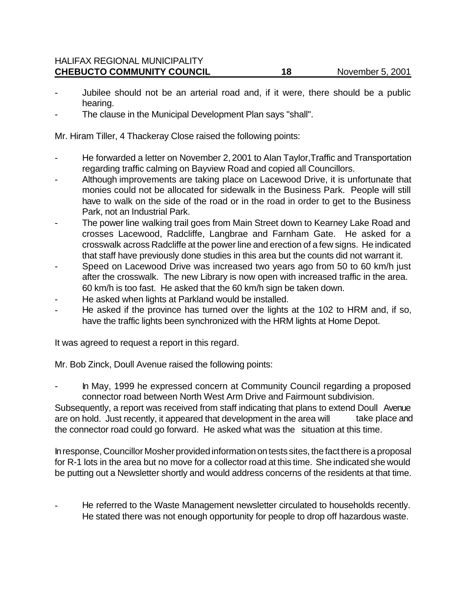- Jubilee should not be an arterial road and, if it were, there should be a public hearing.
- The clause in the Municipal Development Plan says "shall".

Mr. Hiram Tiller, 4 Thackeray Close raised the following points:

- He forwarded a letter on November 2, 2001 to Alan Taylor, Traffic and Transportation regarding traffic calming on Bayview Road and copied all Councillors.
- Although improvements are taking place on Lacewood Drive, it is unfortunate that monies could not be allocated for sidewalk in the Business Park. People will still have to walk on the side of the road or in the road in order to get to the Business Park, not an Industrial Park.
- The power line walking trail goes from Main Street down to Kearney Lake Road and crosses Lacewood, Radcliffe, Langbrae and Farnham Gate. He asked for a crosswalk across Radcliffe at the power line and erection of a few signs. He indicated that staff have previously done studies in this area but the counts did not warrant it.
- Speed on Lacewood Drive was increased two years ago from 50 to 60 km/h just after the crosswalk. The new Library is now open with increased traffic in the area. 60 km/h is too fast. He asked that the 60 km/h sign be taken down.
- He asked when lights at Parkland would be installed.
- He asked if the province has turned over the lights at the 102 to HRM and, if so, have the traffic lights been synchronized with the HRM lights at Home Depot.

It was agreed to request a report in this regard.

Mr. Bob Zinck, Doull Avenue raised the following points:

- In May, 1999 he expressed concern at Community Council regarding a proposed connector road between North West Arm Drive and Fairmount subdivision.

Subsequently, a report was received from staff indicating that plans to extend Doull Avenue are on hold. Just recently, it appeared that development in the area will take place and the connector road could go forward. He asked what was the situation at this time.

In response, Councillor Mosher provided information on tests sites, the fact there is a proposal for R-1 lots in the area but no move for a collector road at this time. She indicated she would be putting out a Newsletter shortly and would address concerns of the residents at that time.

He referred to the Waste Management newsletter circulated to households recently. He stated there was not enough opportunity for people to drop off hazardous waste.